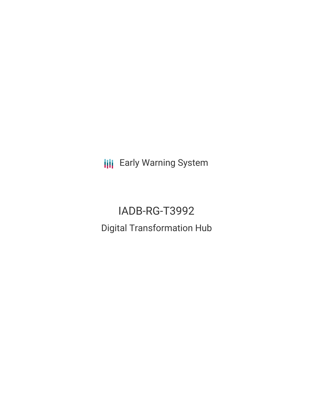**III** Early Warning System

# IADB-RG-T3992 Digital Transformation Hub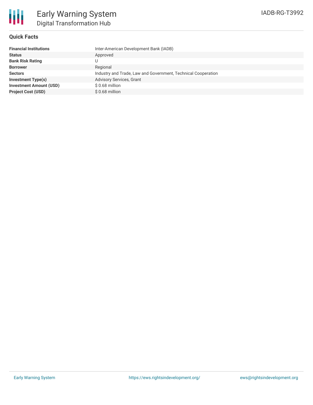

### **Quick Facts**

| <b>Financial Institutions</b>  | Inter-American Development Bank (IADB)                        |
|--------------------------------|---------------------------------------------------------------|
| <b>Status</b>                  | Approved                                                      |
| <b>Bank Risk Rating</b>        |                                                               |
| <b>Borrower</b>                | Regional                                                      |
| <b>Sectors</b>                 | Industry and Trade, Law and Government, Technical Cooperation |
| <b>Investment Type(s)</b>      | <b>Advisory Services, Grant</b>                               |
| <b>Investment Amount (USD)</b> | $$0.68$ million                                               |
| <b>Project Cost (USD)</b>      | $$0.68$ million                                               |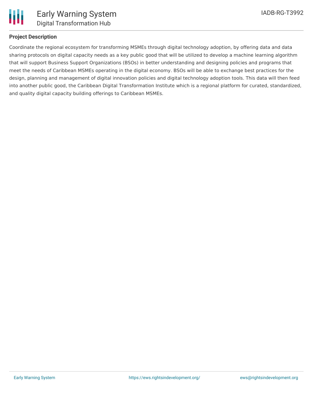

# **Project Description**

Coordinate the regional ecosystem for transforming MSMEs through digital technology adoption, by offering data and data sharing protocols on digital capacity needs as a key public good that will be utilized to develop a machine learning algorithm that will support Business Support Organizations (BSOs) in better understanding and designing policies and programs that meet the needs of Caribbean MSMEs operating in the digital economy. BSOs will be able to exchange best practices for the design, planning and management of digital innovation policies and digital technology adoption tools. This data will then feed into another public good, the Caribbean Digital Transformation Institute which is a regional platform for curated, standardized, and quality digital capacity building offerings to Caribbean MSMEs.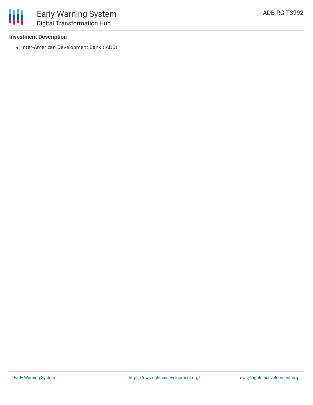# **Investment Description**

冊

• Inter-American Development Bank (IADB)